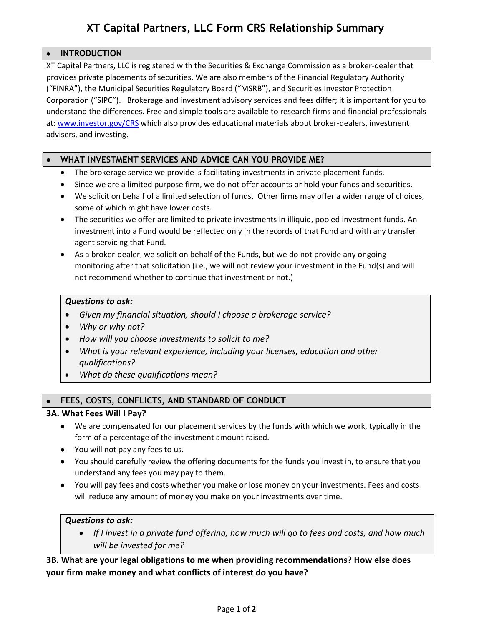# **XT Capital Partners, LLC Form CRS Relationship Summary**

# • **INTRODUCTION**

XT Capital Partners, LLC is registered with the Securities & Exchange Commission as a broker-dealer that provides private placements of securities. We are also members of the Financial Regulatory Authority ("FINRA"), the Municipal Securities Regulatory Board ("MSRB"), and Securities Investor Protection Corporation ("SIPC"). Brokerage and investment advisory services and fees differ; it is important for you to understand the differences. Free and simple tools are available to research firms and financial professionals at: [www.investor.gov/CRS](http://www.investor.gov/CRS) which also provides educational materials about broker-dealers, investment advisers, and investing.

# • **WHAT INVESTMENT SERVICES AND ADVICE CAN YOU PROVIDE ME?**

- The brokerage service we provide is facilitating investments in private placement funds.
- Since we are a limited purpose firm, we do not offer accounts or hold your funds and securities.
- We solicit on behalf of a limited selection of funds. Other firms may offer a wider range of choices, some of which might have lower costs.
- The securities we offer are limited to private investments in illiquid, pooled investment funds. An investment into a Fund would be reflected only in the records of that Fund and with any transfer agent servicing that Fund.
- As a broker-dealer, we solicit on behalf of the Funds, but we do not provide any ongoing monitoring after that solicitation (i.e., we will not review your investment in the Fund(s) and will not recommend whether to continue that investment or not.)

### *Questions to ask:*

- *Given my financial situation, should I choose a brokerage service?*
- *Why or why not?*
- *How will you choose investments to solicit to me?*
- *What is your relevant experience, including your licenses, education and other qualifications?*
- *What do these qualifications mean?*

# • **FEES, COSTS, CONFLICTS, AND STANDARD OF CONDUCT**

### **3A. What Fees Will I Pay?**

- We are compensated for our placement services by the funds with which we work, typically in the form of a percentage of the investment amount raised.
- You will not pay any fees to us.
- You should carefully review the offering documents for the funds you invest in, to ensure that you understand any fees you may pay to them.
- You will pay fees and costs whether you make or lose money on your investments. Fees and costs will reduce any amount of money you make on your investments over time.

### *Questions to ask:*

• *If I invest in a private fund offering, how much will go to fees and costs, and how much will be invested for me?*

# **3B. What are your legal obligations to me when providing recommendations? How else does your firm make money and what conflicts of interest do you have?**